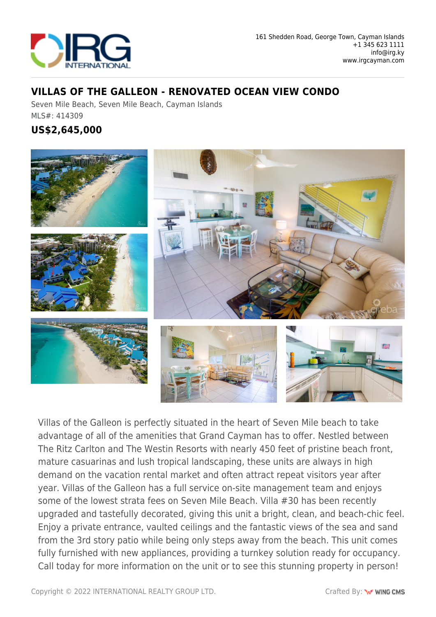

## **VILLAS OF THE GALLEON - RENOVATED OCEAN VIEW CONDO**

Seven Mile Beach, Seven Mile Beach, Cayman Islands MLS#: 414309

## **US\$2,645,000**



Villas of the Galleon is perfectly situated in the heart of Seven Mile beach to take advantage of all of the amenities that Grand Cayman has to offer. Nestled between The Ritz Carlton and The Westin Resorts with nearly 450 feet of pristine beach front, mature casuarinas and lush tropical landscaping, these units are always in high demand on the vacation rental market and often attract repeat visitors year after year. Villas of the Galleon has a full service on-site management team and enjoys some of the lowest strata fees on Seven Mile Beach. Villa #30 has been recently upgraded and tastefully decorated, giving this unit a bright, clean, and beach-chic feel. Enjoy a private entrance, vaulted ceilings and the fantastic views of the sea and sand from the 3rd story patio while being only steps away from the beach. This unit comes fully furnished with new appliances, providing a turnkey solution ready for occupancy. Call today for more information on the unit or to see this stunning property in person!